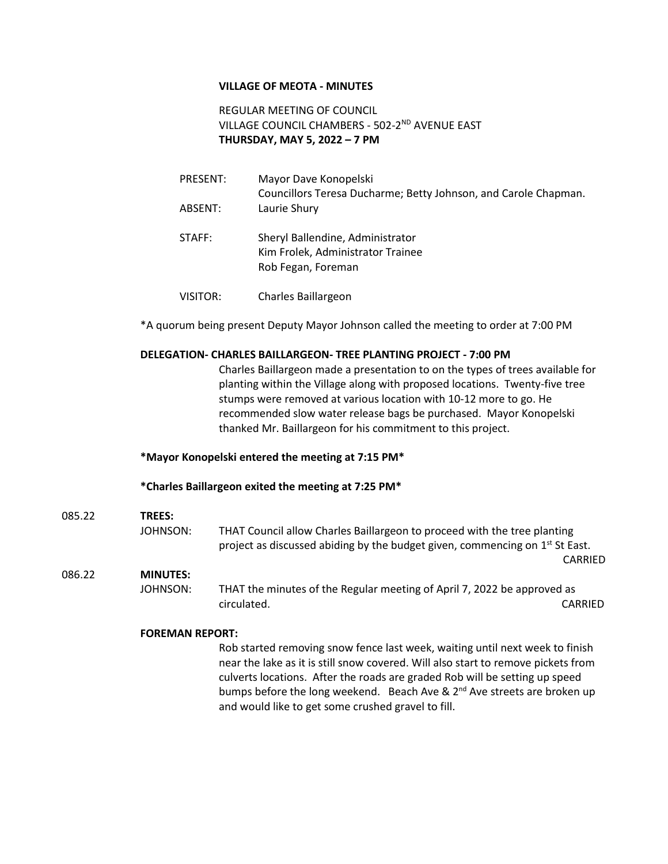## **VILLAGE OF MEOTA - MINUTES**

REGULAR MEETING OF COUNCIL VILLAGE COUNCIL CHAMBERS - 502-2<sup>ND</sup> AVENUE EAST **THURSDAY, MAY 5, 2022 – 7 PM**

- PRESENT: Mayor Dave Konopelski Councillors Teresa Ducharme; Betty Johnson, and Carole Chapman. ABSENT: Laurie Shury
- STAFF: Sheryl Ballendine, Administrator Kim Frolek, Administrator Trainee Rob Fegan, Foreman
- VISITOR: Charles Baillargeon

\*A quorum being present Deputy Mayor Johnson called the meeting to order at 7:00 PM

### **DELEGATION- CHARLES BAILLARGEON- TREE PLANTING PROJECT - 7:00 PM**

Charles Baillargeon made a presentation to on the types of trees available for planting within the Village along with proposed locations. Twenty-five tree stumps were removed at various location with 10-12 more to go. He recommended slow water release bags be purchased. Mayor Konopelski thanked Mr. Baillargeon for his commitment to this project.

#### **\*Mayor Konopelski entered the meeting at 7:15 PM\***

#### **\*Charles Baillargeon exited the meeting at 7:25 PM\***

#### 085.22 **TREES:**

JOHNSON: THAT Council allow Charles Baillargeon to proceed with the tree planting project as discussed abiding by the budget given, commencing on 1<sup>st</sup> St East.

#### 086.22 **MINUTES:**

JOHNSON: THAT the minutes of the Regular meeting of April 7, 2022 be approved as circulated. CARRIED

CARRIED

#### **FOREMAN REPORT:**

Rob started removing snow fence last week, waiting until next week to finish near the lake as it is still snow covered. Will also start to remove pickets from culverts locations. After the roads are graded Rob will be setting up speed bumps before the long weekend. Beach Ave & 2<sup>nd</sup> Ave streets are broken up and would like to get some crushed gravel to fill.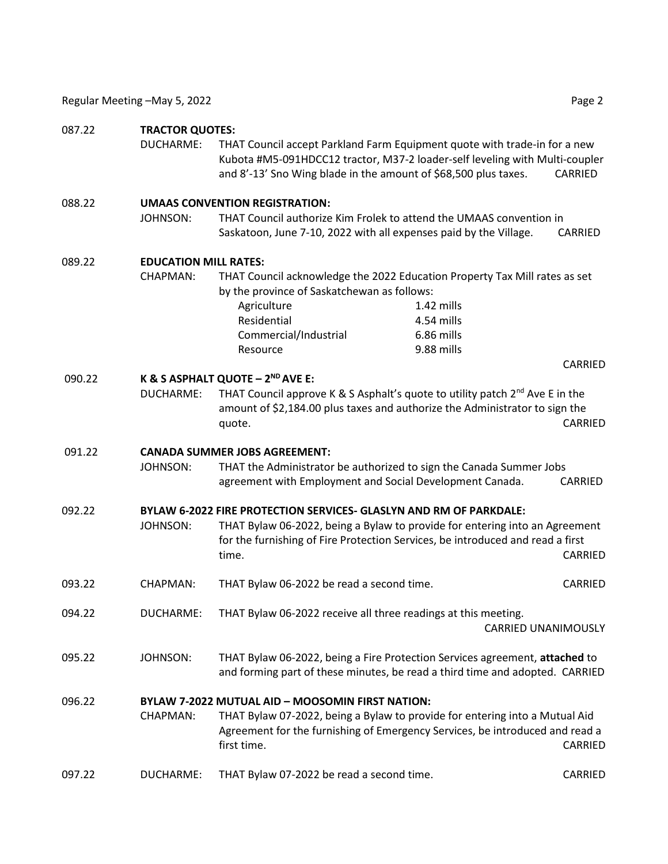### 087.22 **TRACTOR QUOTES:**

DUCHARME: THAT Council accept Parkland Farm Equipment quote with trade-in for a new Kubota #M5-091HDCC12 tractor, M37-2 loader-self leveling with Multi-coupler and 8'-13' Sno Wing blade in the amount of \$68,500 plus taxes. CARRIED

#### 088.22 **UMAAS CONVENTION REGISTRATION:**

JOHNSON: THAT Council authorize Kim Frolek to attend the UMAAS convention in Saskatoon, June 7-10, 2022 with all expenses paid by the Village. CARRIED

#### 089.22 **EDUCATION MILL RATES:**

CHAPMAN: THAT Council acknowledge the 2022 Education Property Tax Mill rates as set by the province of Saskatchewan as follows:

> Agriculture 1.42 mills Residential 4.54 mills Commercial/Industrial 6.86 mills Resource 9.88 mills

> > CARRIED

## 090.22 **K & S ASPHALT QUOTE – 2 ND AVE E:**

DUCHARME: THAT Council approve K & S Asphalt's quote to utility patch  $2^{nd}$  Ave E in the amount of \$2,184.00 plus taxes and authorize the Administrator to sign the quote. CARRIED

#### 091.22 **CANADA SUMMER JOBS AGREEMENT:**

JOHNSON: THAT the Administrator be authorized to sign the Canada Summer Jobs agreement with Employment and Social Development Canada. CARRIED

## 092.22 **BYLAW 6-2022 FIRE PROTECTION SERVICES- GLASLYN AND RM OF PARKDALE:**

- JOHNSON: THAT Bylaw 06-2022, being a Bylaw to provide for entering into an Agreement for the furnishing of Fire Protection Services, be introduced and read a first time. CARRIED
- 093.22 CHAPMAN: THAT Bylaw 06-2022 be read a second time. CARRIED
- 094.22 DUCHARME: THAT Bylaw 06-2022 receive all three readings at this meeting.

CARRIED UNANIMOUSLY

095.22 JOHNSON: THAT Bylaw 06-2022, being a Fire Protection Services agreement, **attached** to and forming part of these minutes, be read a third time and adopted. CARRIED

# 096.22 **BYLAW 7-2022 MUTUAL AID – MOOSOMIN FIRST NATION:** CHAPMAN: THAT Bylaw 07-2022, being a Bylaw to provide for entering into a Mutual Aid Agreement for the furnishing of Emergency Services, be introduced and read a

first time. CARRIED 097.22 DUCHARME: THAT Bylaw 07-2022 be read a second time. CARRIED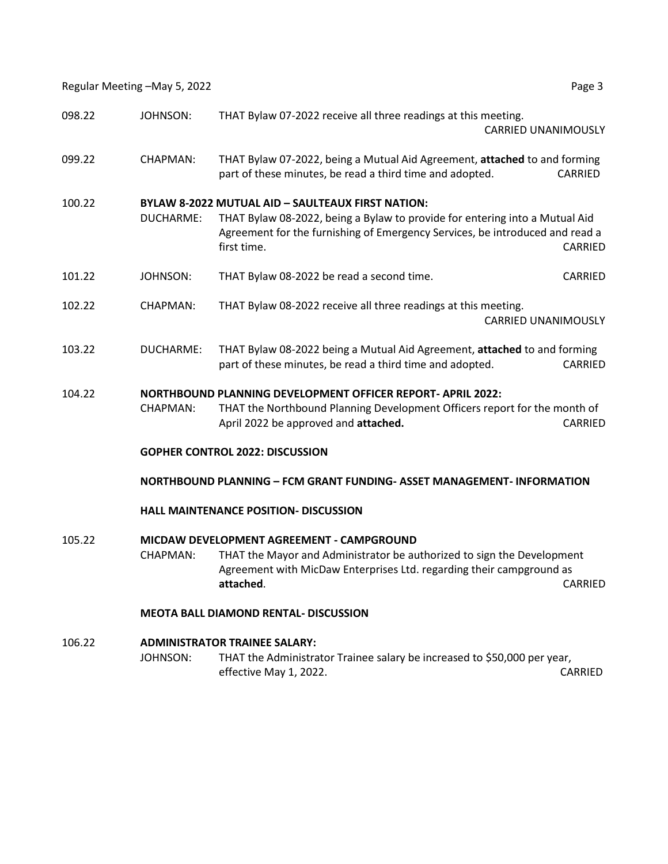Regular Meeting –May 5, 2022 **Page 3** Page 3

| 098.22 | <b>JOHNSON:</b>                                                        | THAT Bylaw 07-2022 receive all three readings at this meeting.<br><b>CARRIED UNANIMOUSLY</b>                                                                                                                                                      |         |  |
|--------|------------------------------------------------------------------------|---------------------------------------------------------------------------------------------------------------------------------------------------------------------------------------------------------------------------------------------------|---------|--|
|        |                                                                        |                                                                                                                                                                                                                                                   |         |  |
| 099.22 | CHAPMAN:                                                               | THAT Bylaw 07-2022, being a Mutual Aid Agreement, attached to and forming<br>part of these minutes, be read a third time and adopted.                                                                                                             | CARRIED |  |
| 100.22 | <b>DUCHARME:</b>                                                       | <b>BYLAW 8-2022 MUTUAL AID - SAULTEAUX FIRST NATION:</b><br>THAT Bylaw 08-2022, being a Bylaw to provide for entering into a Mutual Aid<br>Agreement for the furnishing of Emergency Services, be introduced and read a<br>first time.<br>CARRIED |         |  |
| 101.22 | <b>JOHNSON:</b>                                                        | THAT Bylaw 08-2022 be read a second time.                                                                                                                                                                                                         | CARRIED |  |
| 102.22 | CHAPMAN:                                                               | THAT Bylaw 08-2022 receive all three readings at this meeting.<br><b>CARRIED UNANIMOUSLY</b>                                                                                                                                                      |         |  |
| 103.22 | DUCHARME:                                                              | THAT Bylaw 08-2022 being a Mutual Aid Agreement, attached to and forming<br>part of these minutes, be read a third time and adopted.                                                                                                              | CARRIED |  |
| 104.22 |                                                                        | <b>NORTHBOUND PLANNING DEVELOPMENT OFFICER REPORT- APRIL 2022:</b>                                                                                                                                                                                |         |  |
|        | CHAPMAN:                                                               | THAT the Northbound Planning Development Officers report for the month of<br>April 2022 be approved and attached.                                                                                                                                 | CARRIED |  |
|        | <b>GOPHER CONTROL 2022: DISCUSSION</b>                                 |                                                                                                                                                                                                                                                   |         |  |
|        | NORTHBOUND PLANNING - FCM GRANT FUNDING- ASSET MANAGEMENT- INFORMATION |                                                                                                                                                                                                                                                   |         |  |
|        | <b>HALL MAINTENANCE POSITION- DISCUSSION</b>                           |                                                                                                                                                                                                                                                   |         |  |
| 105.22 | MICDAW DEVELOPMENT AGREEMENT - CAMPGROUND                              |                                                                                                                                                                                                                                                   |         |  |
|        | CHAPMAN:                                                               | THAT the Mayor and Administrator be authorized to sign the Development<br>Agreement with MicDaw Enterprises Ltd. regarding their campground as                                                                                                    |         |  |

**attached**. CARRIED

# **MEOTA BALL DIAMOND RENTAL- DISCUSSION**

# 106.22 **ADMINISTRATOR TRAINEE SALARY:** JOHNSON: THAT the Administrator Trainee salary be increased to \$50,000 per year, effective May 1, 2022. CARRIED